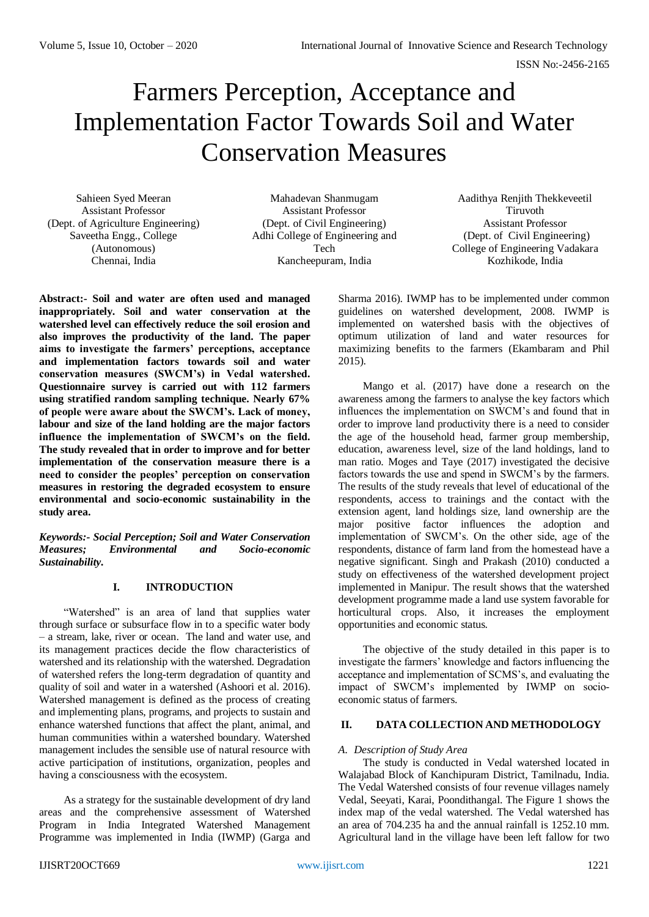# Farmers Perception, Acceptance and Implementation Factor Towards Soil and Water Conservation Measures

Sahieen Syed Meeran Assistant Professor (Dept. of Agriculture Engineering) Saveetha Engg., College (Autonomous) Chennai, India

Mahadevan Shanmugam Assistant Professor (Dept. of Civil Engineering) Adhi College of Engineering and Tech Kancheepuram, India

Aadithya Renjith Thekkeveetil Tiruvoth Assistant Professor (Dept. of Civil Engineering) College of Engineering Vadakara Kozhikode, India

**Abstract:- Soil and water are often used and managed inappropriately. Soil and water conservation at the watershed level can effectively reduce the soil erosion and also improves the productivity of the land. The paper aims to investigate the farmers' perceptions, acceptance and implementation factors towards soil and water conservation measures (SWCM's) in Vedal watershed. Questionnaire survey is carried out with 112 farmers using stratified random sampling technique. Nearly 67% of people were aware about the SWCM's. Lack of money, labour and size of the land holding are the major factors influence the implementation of SWCM's on the field. The study revealed that in order to improve and for better implementation of the conservation measure there is a need to consider the peoples' perception on conservation measures in restoring the degraded ecosystem to ensure environmental and socio-economic sustainability in the study area.**

*Keywords:- Social Perception; Soil and Water Conservation Measures; Environmental and Socio-economic Sustainability.*

# **I. INTRODUCTION**

"Watershed" is an area of land that supplies water through surface or subsurface flow in to a specific water body – a stream, lake, river or ocean. The land and water use, and its management practices decide the flow characteristics of watershed and its relationship with the watershed. Degradation of watershed refers the long-term degradation of quantity and quality of soil and water in a watershed (Ashoori et al. 2016). Watershed management is defined as the process of creating and implementing plans, programs, and projects to sustain and enhance watershed functions that affect the plant, animal, and human communities within a watershed boundary. Watershed management includes the sensible use of natural resource with active participation of institutions, organization, peoples and having a consciousness with the ecosystem.

As a strategy for the sustainable development of dry land areas and the comprehensive assessment of Watershed Program in India Integrated Watershed Management Programme was implemented in India (IWMP) (Garga and

Sharma 2016). IWMP has to be implemented under common guidelines on watershed development, 2008. IWMP is implemented on watershed basis with the objectives of optimum utilization of land and water resources for maximizing benefits to the farmers (Ekambaram and Phil 2015).

Mango et al. (2017) have done a research on the awareness among the farmers to analyse the key factors which influences the implementation on SWCM's and found that in order to improve land productivity there is a need to consider the age of the household head, farmer group membership, education, awareness level, size of the land holdings, land to man ratio. Moges and Taye (2017) investigated the decisive factors towards the use and spend in SWCM's by the farmers. The results of the study reveals that level of educational of the respondents, access to trainings and the contact with the extension agent, land holdings size, land ownership are the major positive factor influences the adoption and implementation of SWCM's. On the other side, age of the respondents, distance of farm land from the homestead have a negative significant. Singh and Prakash (2010) conducted a study on effectiveness of the watershed development project implemented in Manipur. The result shows that the watershed development programme made a land use system favorable for horticultural crops. Also, it increases the employment opportunities and economic status.

The objective of the study detailed in this paper is to investigate the farmers' knowledge and factors influencing the acceptance and implementation of SCMS's, and evaluating the impact of SWCM's implemented by IWMP on socioeconomic status of farmers.

# **II. DATA COLLECTION AND METHODOLOGY**

# *A. Description of Study Area*

The study is conducted in Vedal watershed located in Walajabad Block of Kanchipuram District, Tamilnadu, India. The Vedal Watershed consists of four revenue villages namely Vedal, Seeyati, Karai, Poondithangal. The Figure 1 shows the index map of the vedal watershed. The Vedal watershed has an area of 704.235 ha and the annual rainfall is 1252.10 mm. Agricultural land in the village have been left fallow for two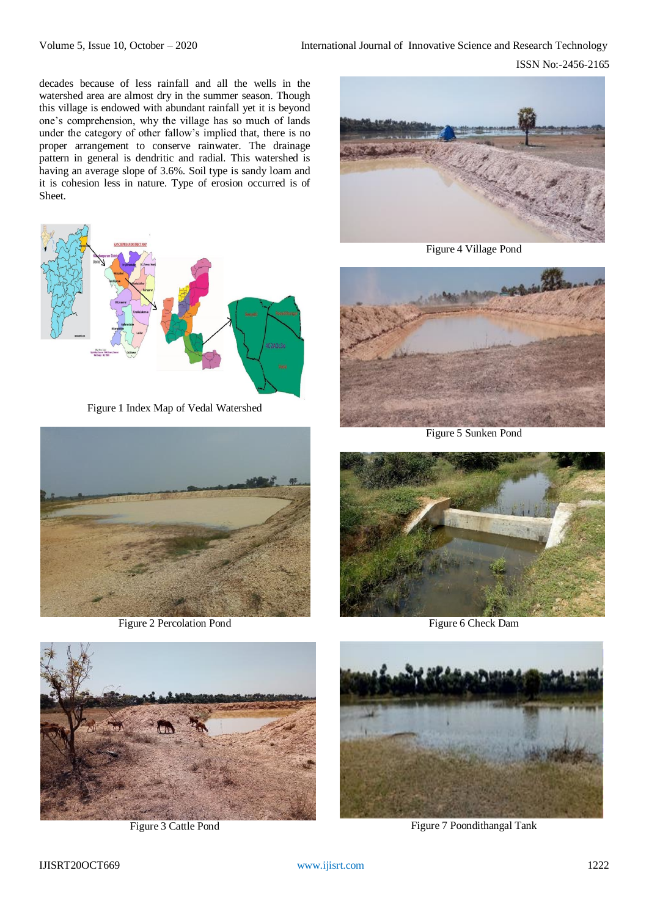decades because of less rainfall and all the wells in the watershed area are almost dry in the summer season. Though this village is endowed with abundant rainfall yet it is beyond one's comprehension, why the village has so much of lands under the category of other fallow's implied that, there is no proper arrangement to conserve rainwater. The drainage pattern in general is dendritic and radial. This watershed is having an average slope of 3.6%. Soil type is sandy loam and it is cohesion less in nature. Type of erosion occurred is of Sheet.



Figure 1 Index Map of Vedal Watershed



Figure 2 Percolation Pond



Figure 4 Village Pond



Figure 5 Sunken Pond



Figure 6 Check Dam



Figure 3 Cattle Pond



Figure 7 Poondithangal Tank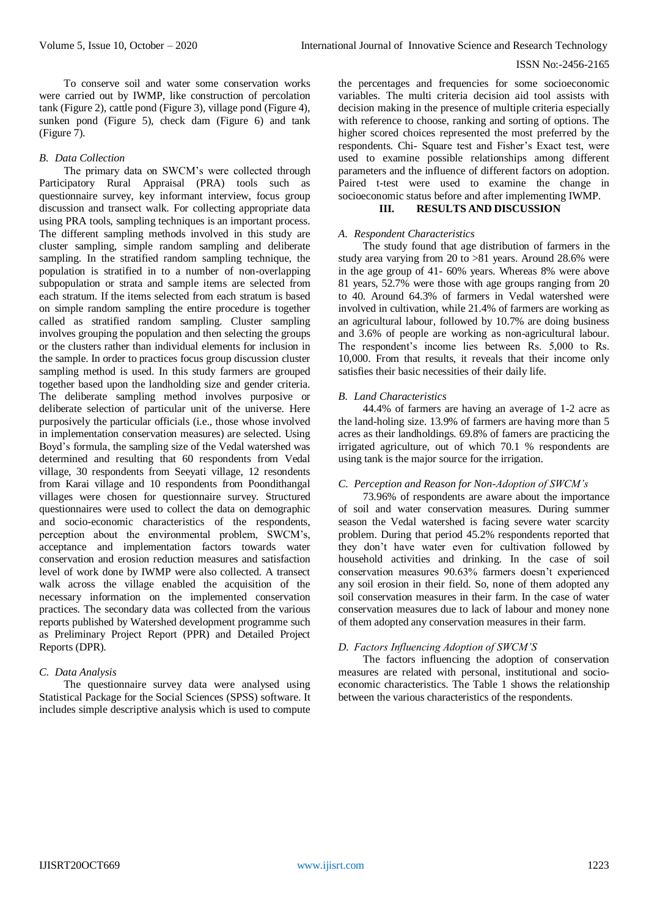#### ISSN No:-2456-2165

To conserve soil and water some conservation works were carried out by IWMP, like construction of percolation tank (Figure 2), cattle pond (Figure 3), village pond (Figure 4), sunken pond (Figure 5), check dam (Figure 6) and tank (Figure 7).

# *B. Data Collection*

The primary data on SWCM's were collected through Participatory Rural Appraisal (PRA) tools such as questionnaire survey, key informant interview, focus group discussion and transect walk. For collecting appropriate data using PRA tools, sampling techniques is an important process. The different sampling methods involved in this study are cluster sampling, simple random sampling and deliberate sampling. In the stratified random sampling technique, the population is stratified in to a number of non-overlapping subpopulation or strata and sample items are selected from each stratum. If the items selected from each stratum is based on simple random sampling the entire procedure is together called as stratified random sampling. Cluster sampling involves grouping the population and then selecting the groups or the clusters rather than individual elements for inclusion in the sample. In order to practices focus group discussion cluster sampling method is used. In this study farmers are grouped together based upon the landholding size and gender criteria. The deliberate sampling method involves purposive or deliberate selection of particular unit of the universe. Here purposively the particular officials (i.e., those whose involved in implementation conservation measures) are selected. Using Boyd's formula, the sampling size of the Vedal watershed was determined and resulting that 60 respondents from Vedal village, 30 respondents from Seeyati village, 12 resondents from Karai village and 10 respondents from Poondithangal villages were chosen for questionnaire survey. Structured questionnaires were used to collect the data on demographic and socio-economic characteristics of the respondents, perception about the environmental problem, SWCM's, acceptance and implementation factors towards water conservation and erosion reduction measures and satisfaction level of work done by IWMP were also collected. A transect walk across the village enabled the acquisition of the necessary information on the implemented conservation practices. The secondary data was collected from the various reports published by Watershed development programme such as Preliminary Project Report (PPR) and Detailed Project Reports (DPR).

# *C. Data Analysis*

The questionnaire survey data were analysed using Statistical Package for the Social Sciences (SPSS) software. It includes simple descriptive analysis which is used to compute

the percentages and frequencies for some socioeconomic variables. The multi criteria decision aid tool assists with decision making in the presence of multiple criteria especially with reference to choose, ranking and sorting of options. The higher scored choices represented the most preferred by the respondents. Chi- Square test and Fisher's Exact test, were used to examine possible relationships among different parameters and the influence of different factors on adoption. Paired t-test were used to examine the change in socioeconomic status before and after implementing IWMP.

# **III. RESULTS AND DISCUSSION**

# *A. Respondent Characteristics*

The study found that age distribution of farmers in the study area varying from 20 to >81 years. Around 28.6% were in the age group of 41- 60% years. Whereas 8% were above 81 years, 52.7% were those with age groups ranging from 20 to 40. Around 64.3% of farmers in Vedal watershed were involved in cultivation, while 21.4% of farmers are working as an agricultural labour, followed by 10.7% are doing business and 3.6% of people are working as non-agricultural labour. The respondent's income lies between Rs. 5,000 to Rs. 10,000. From that results, it reveals that their income only satisfies their basic necessities of their daily life.

# *B. Land Characteristics*

44.4% of farmers are having an average of 1-2 acre as the land-holing size. 13.9% of farmers are having more than 5 acres as their landholdings. 69.8% of famers are practicing the irrigated agriculture, out of which 70.1 % respondents are using tank is the major source for the irrigation.

# *C. Perception and Reason for Non-Adoption of SWCM's*

73.96% of respondents are aware about the importance of soil and water conservation measures. During summer season the Vedal watershed is facing severe water scarcity problem. During that period 45.2% respondents reported that they don't have water even for cultivation followed by household activities and drinking. In the case of soil conservation measures 90.63% farmers doesn't experienced any soil erosion in their field. So, none of them adopted any soil conservation measures in their farm. In the case of water conservation measures due to lack of labour and money none of them adopted any conservation measures in their farm.

# *D. Factors Influencing Adoption of SWCM'S*

The factors influencing the adoption of conservation measures are related with personal, institutional and socioeconomic characteristics. The Table 1 shows the relationship between the various characteristics of the respondents.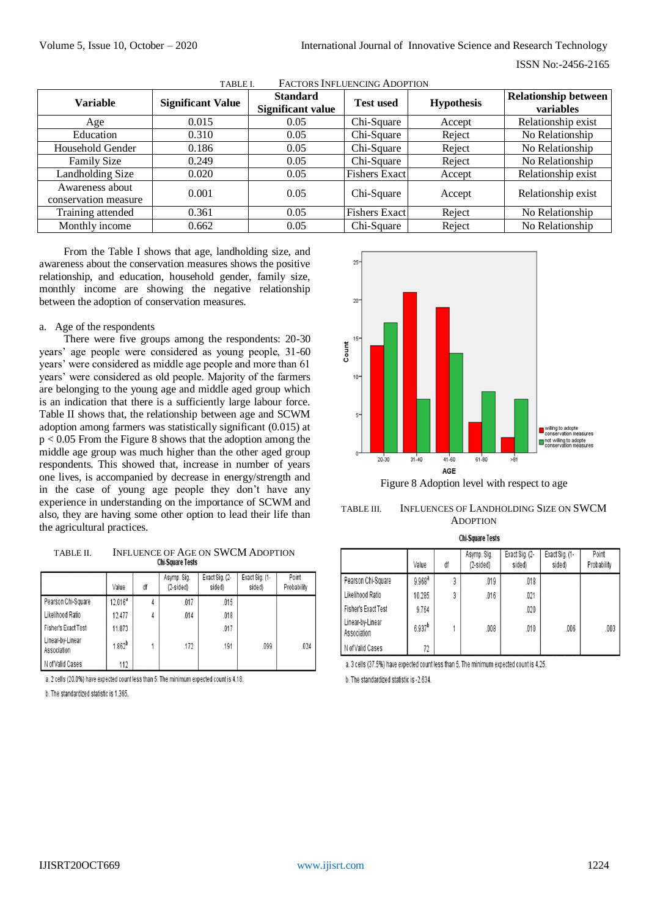| <b>Variable</b>                         | <b>Significant Value</b> | <b>Standard</b><br>Significant value | <b>Test used</b>     | <b>Hypothesis</b> | <b>Relationship between</b><br>variables |
|-----------------------------------------|--------------------------|--------------------------------------|----------------------|-------------------|------------------------------------------|
| Age                                     | 0.015                    | 0.05                                 | Chi-Square           | Accept            | Relationship exist                       |
| Education                               | 0.310                    | 0.05                                 | Chi-Square           | Reject            | No Relationship                          |
| Household Gender                        | 0.186                    | 0.05                                 | Chi-Square           | Reject            | No Relationship                          |
| <b>Family Size</b>                      | 0.249                    | 0.05                                 | Chi-Square           | Reject            | No Relationship                          |
| <b>Landholding Size</b>                 | 0.020                    | 0.05                                 | Fishers Exact        | Accept            | Relationship exist                       |
| Awareness about<br>conservation measure | 0.001                    | 0.05                                 | Chi-Square           | Accept            | Relationship exist                       |
| Training attended                       | 0.361                    | 0.05                                 | <b>Fishers Exact</b> | Reject            | No Relationship                          |
| Monthly income                          | 0.662                    | 0.05                                 | Chi-Square           | Reject            | No Relationship                          |

TABLE I. FACTORS INFLUENCING ADOPTION

From the Table I shows that age, landholding size, and awareness about the conservation measures shows the positive relationship, and education, household gender, family size, monthly income are showing the negative relationship between the adoption of conservation measures.

#### a. Age of the respondents

There were five groups among the respondents: 20-30 years' age people were considered as young people, 31-60 years' were considered as middle age people and more than 61 years' were considered as old people. Majority of the farmers are belonging to the young age and middle aged group which is an indication that there is a sufficiently large labour force. Table II shows that, the relationship between age and SCWM adoption among farmers was statistically significant (0.015) at  $p < 0.05$  From the Figure 8 shows that the adoption among the middle age group was much higher than the other aged group respondents. This showed that, increase in number of years one lives, is accompanied by decrease in energy/strength and in the case of young age people they don't have any experience in understanding on the importance of SCWM and also, they are having some other option to lead their life than the agricultural practices.

TABLE II. INFLUENCE OF AGE ON SWCM ADOPTION

|                                 | Value        | ďf | Asymp. Sig.<br>$(2-sided)$ | Exact Sig. (2-<br>sided) | Exact Sig. (1-<br>sided) | Point<br>Probability |
|---------------------------------|--------------|----|----------------------------|--------------------------|--------------------------|----------------------|
| Pearson Chi-Square              | $12.016^{a}$ |    | .017                       | .015                     |                          |                      |
| Likelihood Ratio                | 12.477       | 4  | .014                       | .018                     |                          |                      |
| Fisher's Exact Test             | 11.873       |    |                            | .017                     |                          |                      |
| Linear-by-Linear<br>Association | $1.862^{b}$  |    | .172                       | .191                     | .099                     | .024                 |
| N of Valid Cases                | 112          |    |                            |                          |                          |                      |

a. 2 cells (20.0%) have expected count less than 5. The minimum expected count is 4.18.

b. The standardized statistic is 1.365.



Figure 8 Adoption level with respect to age



**Chi-Square Tests** 

|                                 | Value                | ďf | Asymp. Sig.<br>$(2-sided)$ | Exact Sig. (2-<br>sided) | Exact Sig. (1-<br>sided) | Point<br>Probability |
|---------------------------------|----------------------|----|----------------------------|--------------------------|--------------------------|----------------------|
| Pearson Chi-Square              | $9.968$ <sup>a</sup> | 3  | .019                       | .018                     |                          |                      |
| Likelihood Ratio                | 10.285               | 3  | .016                       | .021                     |                          |                      |
| Fisher's Exact Test             | 9.764                |    |                            | .020                     |                          |                      |
| Linear-by-Linear<br>Association | $6.937^{b}$          |    | .008                       | .010                     | .006                     | .003                 |
| N of Valid Cases                | 72                   |    |                            |                          |                          |                      |

a. 3 cells (37.5%) have expected count less than 5. The minimum expected count is 4.25.

b. The standardized statistic is -2.634.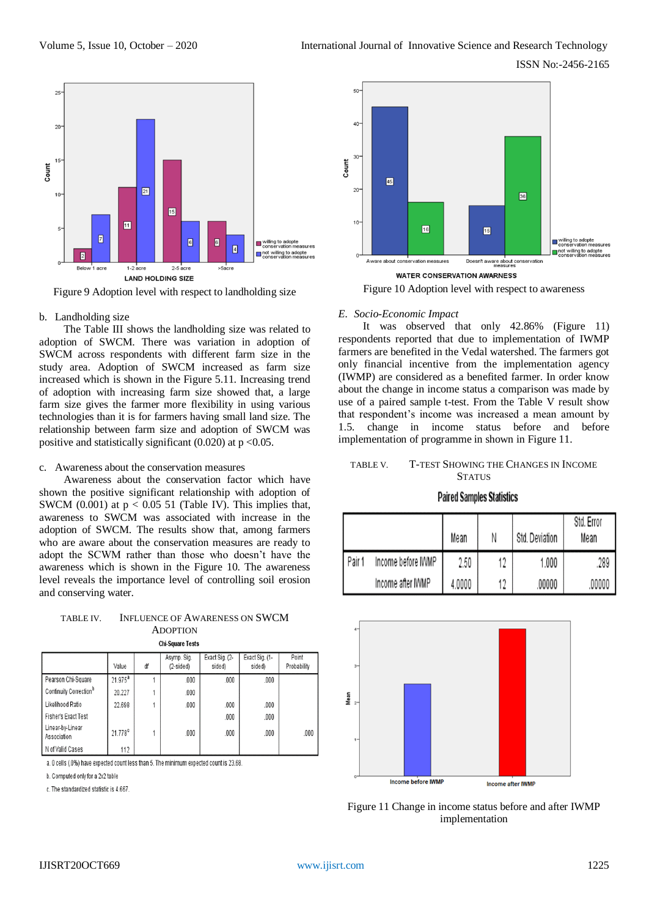ISSN No:-2456-2165



Figure 9 Adoption level with respect to landholding size

#### b. Landholding size

The Table III shows the landholding size was related to adoption of SWCM. There was variation in adoption of SWCM across respondents with different farm size in the study area. Adoption of SWCM increased as farm size increased which is shown in the Figure 5.11. Increasing trend of adoption with increasing farm size showed that, a large farm size gives the farmer more flexibility in using various technologies than it is for farmers having small land size. The relationship between farm size and adoption of SWCM was positive and statistically significant  $(0.020)$  at  $p < 0.05$ .

#### c. Awareness about the conservation measures

Awareness about the conservation factor which have shown the positive significant relationship with adoption of SWCM (0.001) at  $p < 0.05$  51 (Table IV). This implies that, awareness to SWCM was associated with increase in the adoption of SWCM. The results show that, among farmers who are aware about the conservation measures are ready to adopt the SCWM rather than those who doesn't have the awareness which is shown in the Figure 10. The awareness level reveals the importance level of controlling soil erosion and conserving water.

#### TABLE IV. INFLUENCE OF AWARENESS ON SWCM ADOPTION **Chi-Square Tests**

|                                    | Value               | ďf | Asymp. Sig.<br>$(2-sided)$ | Exact Sig. (2-<br>sided) | Exact Sig. (1-<br>sided) | Point<br>Probability |  |
|------------------------------------|---------------------|----|----------------------------|--------------------------|--------------------------|----------------------|--|
| Pearson Chi-Square                 | $21.975^{\text{a}}$ |    | .000                       | .000                     | .000                     |                      |  |
| Continuity Correction <sup>b</sup> | 20.227              |    | .000                       |                          |                          |                      |  |
| Likelihood Ratio                   | 22.698              |    | .000                       | .000                     | .000                     |                      |  |
| <b>Fisher's Exact Test</b>         |                     |    |                            | .000                     | .000                     |                      |  |
| Linear-by-Linear<br>Association    | 21.778 <sup>c</sup> |    | .000                       | .000                     | .000                     | .000                 |  |
| N of Valid Cases                   | 112                 |    |                            |                          |                          |                      |  |

a. 0 cells (.0%) have expected count less than 5. The minimum expected count is 23.68

b. Computed only for a 2x2 table

c. The standardized statistic is 4.667



Figure 10 Adoption level with respect to awareness

#### *E. Socio-Economic Impact*

It was observed that only 42.86% (Figure 11) respondents reported that due to implementation of IWMP farmers are benefited in the Vedal watershed. The farmers got only financial incentive from the implementation agency (IWMP) are considered as a benefited farmer. In order know about the change in income status a comparison was made by use of a paired sample t-test. From the Table V result show that respondent's income was increased a mean amount by 1.5. change in income status before and before implementation of programme in shown in Figure 11.

#### TABLE V. T-TEST SHOWING THE CHANGES IN INCOME **STATUS**

#### **Paired Samples Statistics**

|        |                    | Mean   | Ν  | Std. Deviation | Std. Error<br>Mean |
|--------|--------------------|--------|----|----------------|--------------------|
| Pair 1 | Income before IWMP | 2.50   | 17 | 1.000          | 289                |
|        | Income after IWMP  | 4.0000 | 19 | .00000         | .00000             |



Figure 11 Change in income status before and after IWMP implementation